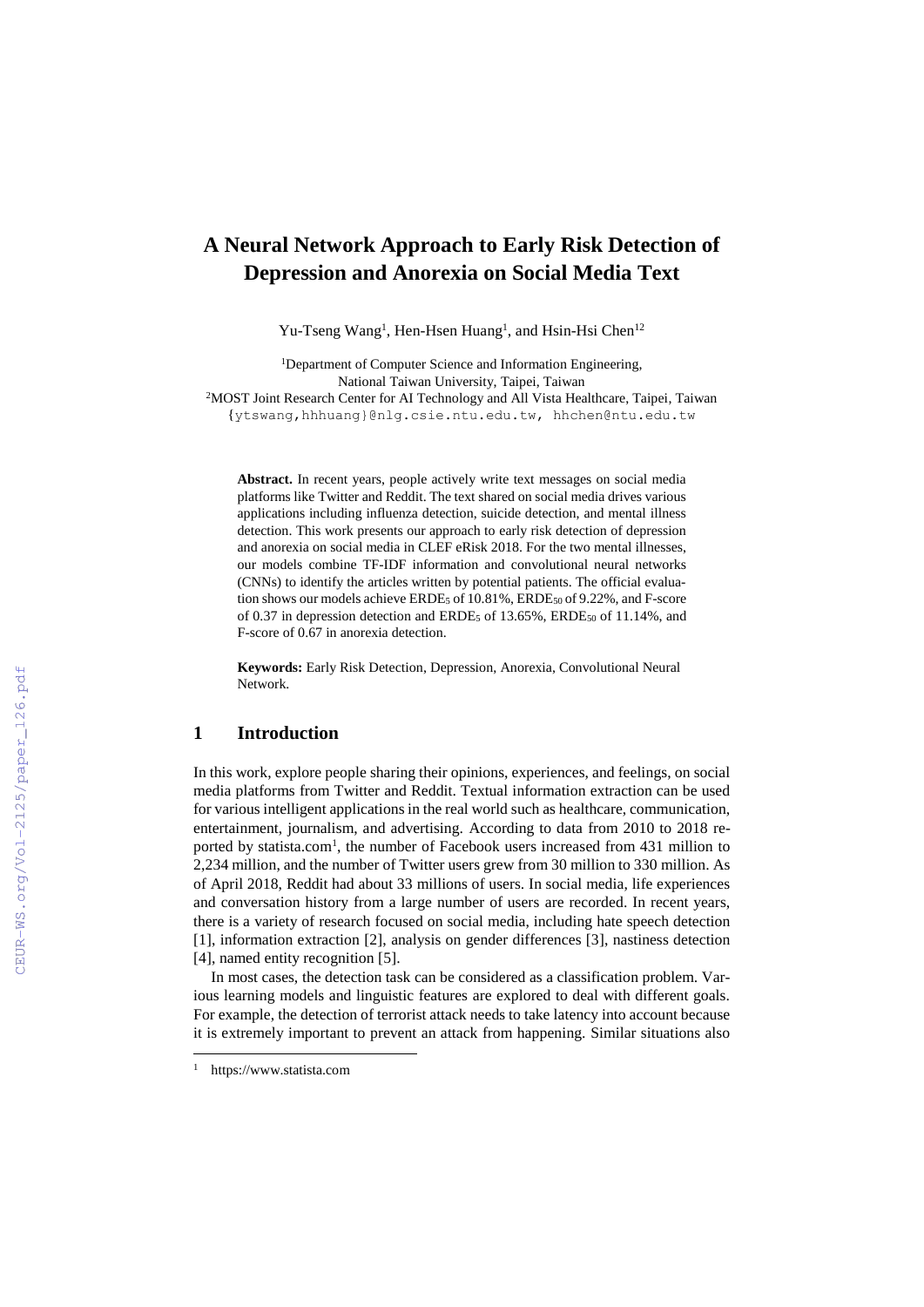# **A Neural Network Approach to Early Risk Detection of Depression and Anorexia on Social Media Text**

Yu-Tseng Wang<sup>1</sup>, Hen-Hsen Huang<sup>1</sup>, and Hsin-Hsi Chen<sup>12</sup>

<sup>1</sup>Department of Computer Science and Information Engineering, National Taiwan University, Taipei, Taiwan <sup>2</sup>MOST Joint Research Center for AI Technology and All Vista Healthcare, Taipei, Taiwan {ytswang,hhhuang}@nlg.csie.ntu.edu.tw, hhchen@ntu.edu.tw

**Abstract.** In recent years, people actively write text messages on social media platforms like Twitter and Reddit. The text shared on social media drives various applications including influenza detection, suicide detection, and mental illness detection. This work presents our approach to early risk detection of depression and anorexia on social media in CLEF eRisk 2018. For the two mental illnesses, our models combine TF-IDF information and convolutional neural networks (CNNs) to identify the articles written by potential patients. The official evaluation shows our models achieve ERDE<sub>5</sub> of 10.81%, ERDE<sub>50</sub> of 9.22%, and F-score of 0.37 in depression detection and ERDE<sub>5</sub> of 13.65%, ERDE<sub>50</sub> of 11.14%, and F-score of 0.67 in anorexia detection.

**Keywords:** Early Risk Detection, Depression, Anorexia, Convolutional Neural Network.

### **1 Introduction**

In this work, explore people sharing their opinions, experiences, and feelings, on social media platforms from Twitter and Reddit. Textual information extraction can be used for various intelligent applications in the real world such as healthcare, communication, entertainment, journalism, and advertising. According to data from 2010 to 2018 reported by statista.com<sup>1</sup>, the number of Facebook users increased from 431 million to 2,234 million, and the number of Twitter users grew from 30 million to 330 million. As of April 2018, Reddit had about 33 millions of users. In social media, life experiences and conversation history from a large number of users are recorded. In recent years, there is a variety of research focused on social media, including hate speech detection [1], information extraction [2], analysis on gender differences [3], nastiness detection [4], named entity recognition [5].

In most cases, the detection task can be considered as a classification problem. Various learning models and linguistic features are explored to deal with different goals. For example, the detection of terrorist attack needs to take latency into account because it is extremely important to prevent an attack from happening. Similar situations also

 $\overline{a}$ 

<sup>1</sup> https://www.statista.com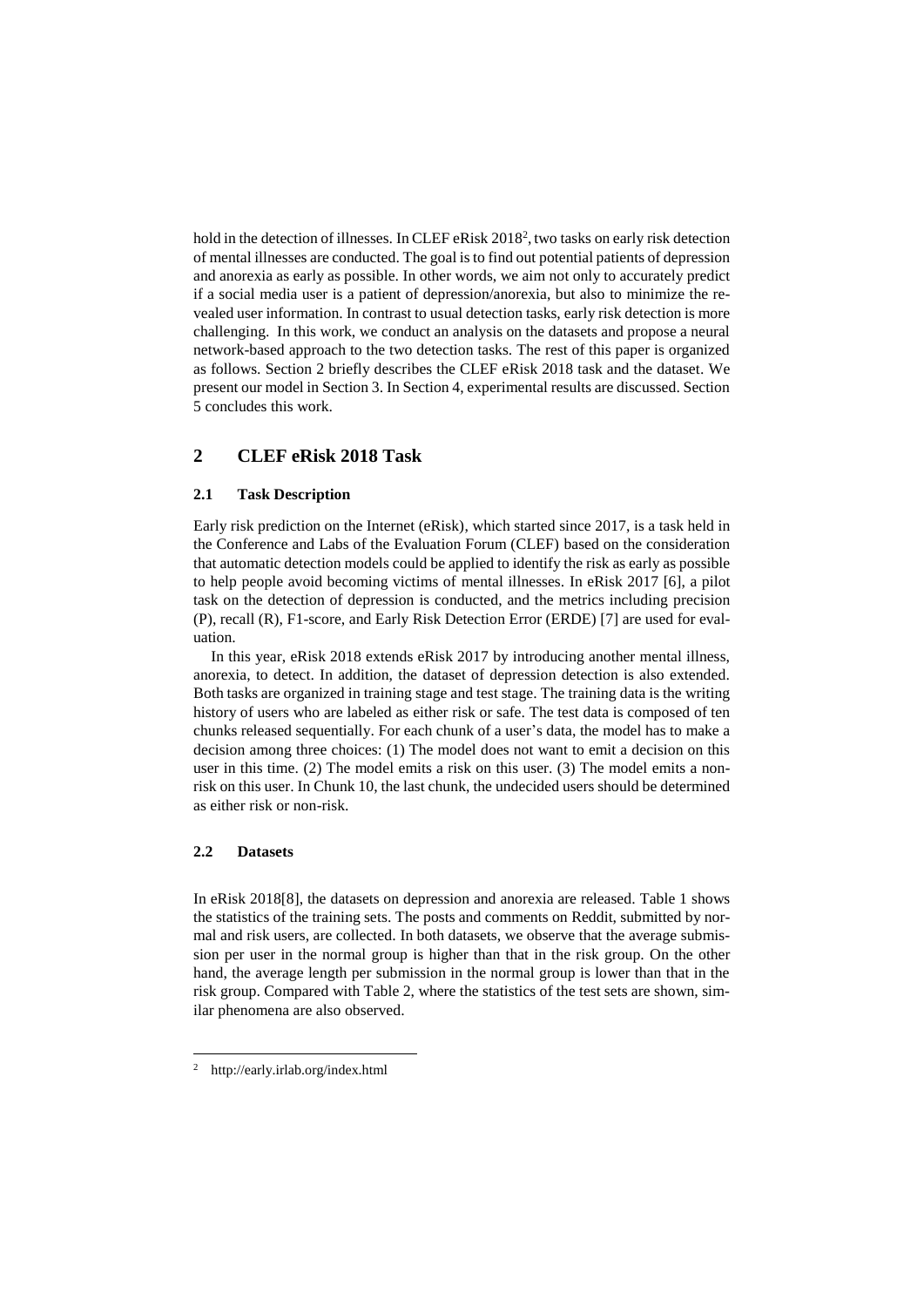hold in the detection of illnesses. In CLEF eRisk 2018<sup>2</sup>, two tasks on early risk detection of mental illnesses are conducted. The goal is to find out potential patients of depression and anorexia as early as possible. In other words, we aim not only to accurately predict if a social media user is a patient of depression/anorexia, but also to minimize the revealed user information. In contrast to usual detection tasks, early risk detection is more challenging. In this work, we conduct an analysis on the datasets and propose a neural network-based approach to the two detection tasks. The rest of this paper is organized as follows. Section 2 briefly describes the CLEF eRisk 2018 task and the dataset. We present our model in Section 3. In Section 4, experimental results are discussed. Section 5 concludes this work.

# **2 CLEF eRisk 2018 Task**

#### **2.1 Task Description**

Early risk prediction on the Internet (eRisk), which started since 2017, is a task held in the Conference and Labs of the Evaluation Forum (CLEF) based on the consideration that automatic detection models could be applied to identify the risk as early as possible to help people avoid becoming victims of mental illnesses. In eRisk 2017 [6], a pilot task on the detection of depression is conducted, and the metrics including precision (P), recall (R), F1-score, and Early Risk Detection Error (ERDE) [7] are used for evaluation.

In this year, eRisk 2018 extends eRisk 2017 by introducing another mental illness, anorexia, to detect. In addition, the dataset of depression detection is also extended. Both tasks are organized in training stage and test stage. The training data is the writing history of users who are labeled as either risk or safe. The test data is composed of ten chunks released sequentially. For each chunk of a user's data, the model has to make a decision among three choices: (1) The model does not want to emit a decision on this user in this time. (2) The model emits a risk on this user. (3) The model emits a nonrisk on this user. In Chunk 10, the last chunk, the undecided users should be determined as either risk or non-risk.

#### **2.2 Datasets**

 $\overline{a}$ 

In eRisk 2018[8], the datasets on depression and anorexia are released. Table 1 shows the statistics of the training sets. The posts and comments on Reddit, submitted by normal and risk users, are collected. In both datasets, we observe that the average submission per user in the normal group is higher than that in the risk group. On the other hand, the average length per submission in the normal group is lower than that in the risk group. Compared with Table 2, where the statistics of the test sets are shown, similar phenomena are also observed.

<sup>2</sup> http://early.irlab.org/index.html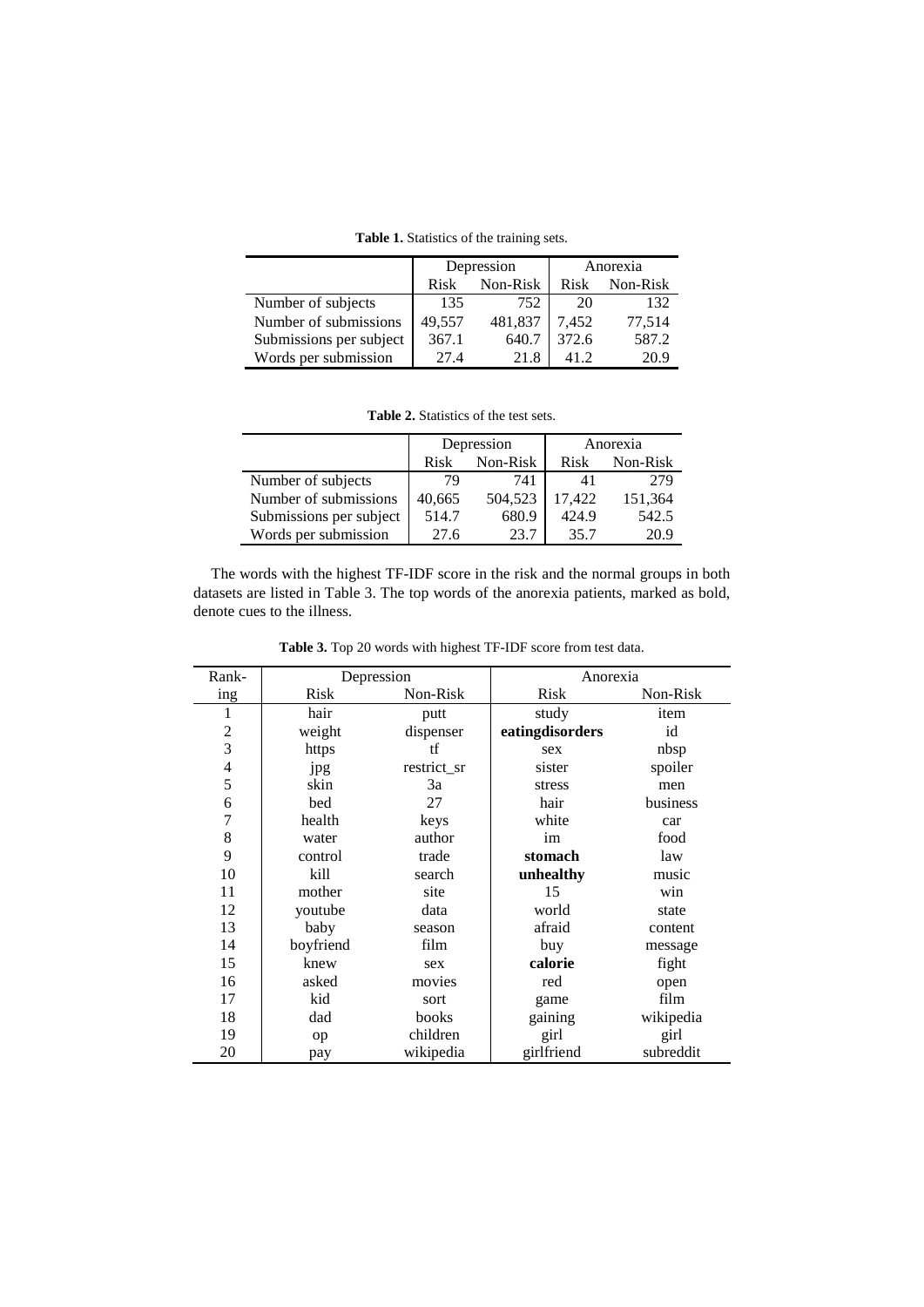**Table 1.** Statistics of the training sets.

|                         | Depression       |         | Anorexia |          |
|-------------------------|------------------|---------|----------|----------|
|                         | Non-Risk<br>Risk |         | Risk     | Non-Risk |
| Number of subjects      | 135              | 752     | 20       | 132      |
| Number of submissions   | 49,557           | 481,837 | 7.452    | 77,514   |
| Submissions per subject | 367.1            | 640.7   | 372.6    | 587.2    |
| Words per submission    | 27.4             | 21.8    |          | 20.9     |

| <b>Table 2.</b> Statistics of the test sets. |  |
|----------------------------------------------|--|
|----------------------------------------------|--|

|                         |                  | Depression | Anorexia |          |  |
|-------------------------|------------------|------------|----------|----------|--|
|                         | Non-Risk<br>Risk |            | Risk     | Non-Risk |  |
| Number of subjects      | 79               | 741        | 41       | 279      |  |
| Number of submissions   | 40,665           | 504.523    | 17.422   | 151,364  |  |
| Submissions per subject | 514.7            | 680.9      | 424.9    | 542.5    |  |
| Words per submission    | 27.6             | 23.7       | 35.7     | 20.9     |  |

The words with the highest TF-IDF score in the risk and the normal groups in both datasets are listed in Table 3. The top words of the anorexia patients, marked as bold, denote cues to the illness.

| Rank-            |           | Depression  | Anorexia        |           |  |
|------------------|-----------|-------------|-----------------|-----------|--|
| ing              | Risk      | Non-Risk    | <b>Risk</b>     | Non-Risk  |  |
| 1                | hair      | putt        | study           | item      |  |
| $\boldsymbol{2}$ | weight    | dispenser   | eatingdisorders | id        |  |
| $\overline{3}$   | https     | tf          | sex             | nbsp      |  |
| $\overline{4}$   | jpg       | restrict_sr | sister          | spoiler   |  |
| 5                | skin      | 3a          | stress          | men       |  |
| 6                | bed       | 27          | hair            | business  |  |
| $\overline{7}$   | health    | keys        | white           | car       |  |
| 8                | water     | author      | im              | food      |  |
| 9                | control   | trade       | stomach         | law       |  |
| 10               | kill      | search      | unhealthy       | music     |  |
| 11               | mother    | site        | 15              | win       |  |
| 12               | youtube   | data        | world           | state     |  |
| 13               | baby      | season      | afraid          | content   |  |
| 14               | boyfriend | film        | buy             | message   |  |
| 15               | knew      | sex         | calorie         | fight     |  |
| 16               | asked     | movies      | red             | open      |  |
| 17               | kid       | sort        | game            | film      |  |
| 18               | dad       | books       | gaining         | wikipedia |  |
| 19               | op        | children    | girl            | girl      |  |
| 20               | pay       | wikipedia   | girlfriend      | subreddit |  |

**Table 3.** Top 20 words with highest TF-IDF score from test data.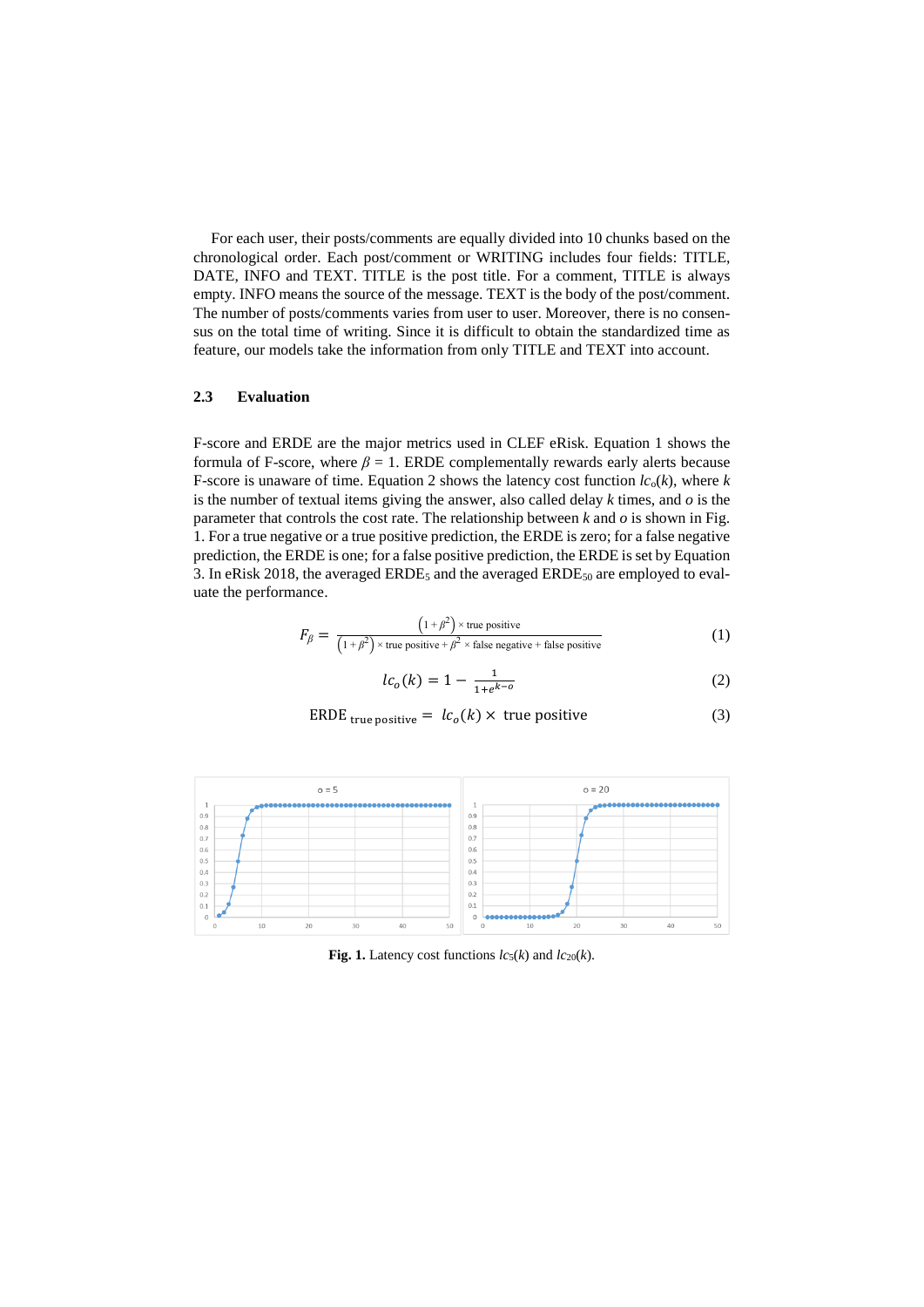For each user, their posts/comments are equally divided into 10 chunks based on the chronological order. Each post/comment or WRITING includes four fields: TITLE, DATE, INFO and TEXT. TITLE is the post title. For a comment, TITLE is always empty. INFO means the source of the message. TEXT is the body of the post/comment. The number of posts/comments varies from user to user. Moreover, there is no consensus on the total time of writing. Since it is difficult to obtain the standardized time as feature, our models take the information from only TITLE and TEXT into account.

### **2.3 Evaluation**

F-score and ERDE are the major metrics used in CLEF eRisk. Equation 1 shows the formula of F-score, where  $\beta = 1$ . ERDE complementally rewards early alerts because F-score is unaware of time. Equation 2 shows the latency cost function  $lc_0(k)$ , where  $k$ is the number of textual items giving the answer, also called delay *k* times, and *o* is the parameter that controls the cost rate. The relationship between *k* and *o* is shown in Fig. 1. For a true negative or a true positive prediction, the ERDE is zero; for a false negative prediction, the ERDE is one; for a false positive prediction, the ERDE is set by Equation 3. In eRisk 2018, the averaged  $ERDE_5$  and the averaged  $ERDE_{50}$  are employed to evaluate the performance.

$$
F_{\beta} = \frac{(1+\beta^2) \times \text{true positive}}{(1+\beta^2) \times \text{true positive} + \beta^2 \times \text{false negative} + \text{false positive}} \tag{1}
$$

$$
lc_o(k) = 1 - \frac{1}{1 + e^{k - o}}
$$
 (2)

$$
ERDEtrue positive = lco(k) \times true positive
$$
 (3)



**Fig. 1.** Latency cost functions  $lc_5(k)$  and  $lc_{20}(k)$ .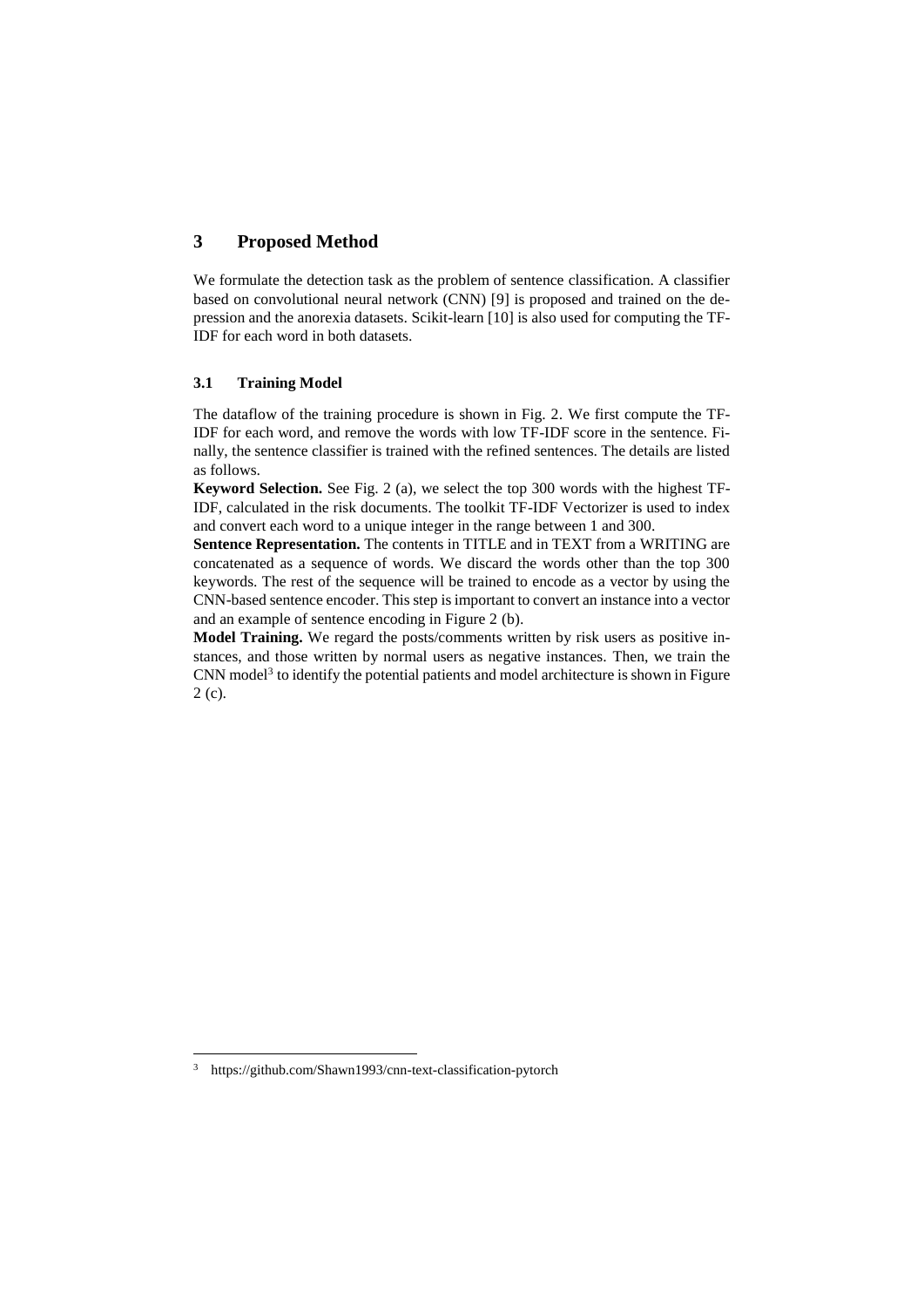# **3 Proposed Method**

We formulate the detection task as the problem of sentence classification. A classifier based on convolutional neural network (CNN) [9] is proposed and trained on the depression and the anorexia datasets. Scikit-learn [10] is also used for computing the TF-IDF for each word in both datasets.

### **3.1 Training Model**

The dataflow of the training procedure is shown in Fig. 2. We first compute the TF-IDF for each word, and remove the words with low TF-IDF score in the sentence. Finally, the sentence classifier is trained with the refined sentences. The details are listed as follows.

**Keyword Selection.** See Fig. 2 (a), we select the top 300 words with the highest TF-IDF, calculated in the risk documents. The toolkit TF-IDF Vectorizer is used to index and convert each word to a unique integer in the range between 1 and 300.

**Sentence Representation.** The contents in TITLE and in TEXT from a WRITING are concatenated as a sequence of words. We discard the words other than the top 300 keywords. The rest of the sequence will be trained to encode as a vector by using the CNN-based sentence encoder. This step is important to convert an instance into a vector and an example of sentence encoding in Figure 2 (b).

**Model Training.** We regard the posts/comments written by risk users as positive instances, and those written by normal users as negative instances. Then, we train the CNN model<sup>3</sup> to identify the potential patients and model architecture is shown in Figure 2 (c).

 $\overline{a}$ 

<sup>3</sup> https://github.com/Shawn1993/cnn-text-classification-pytorch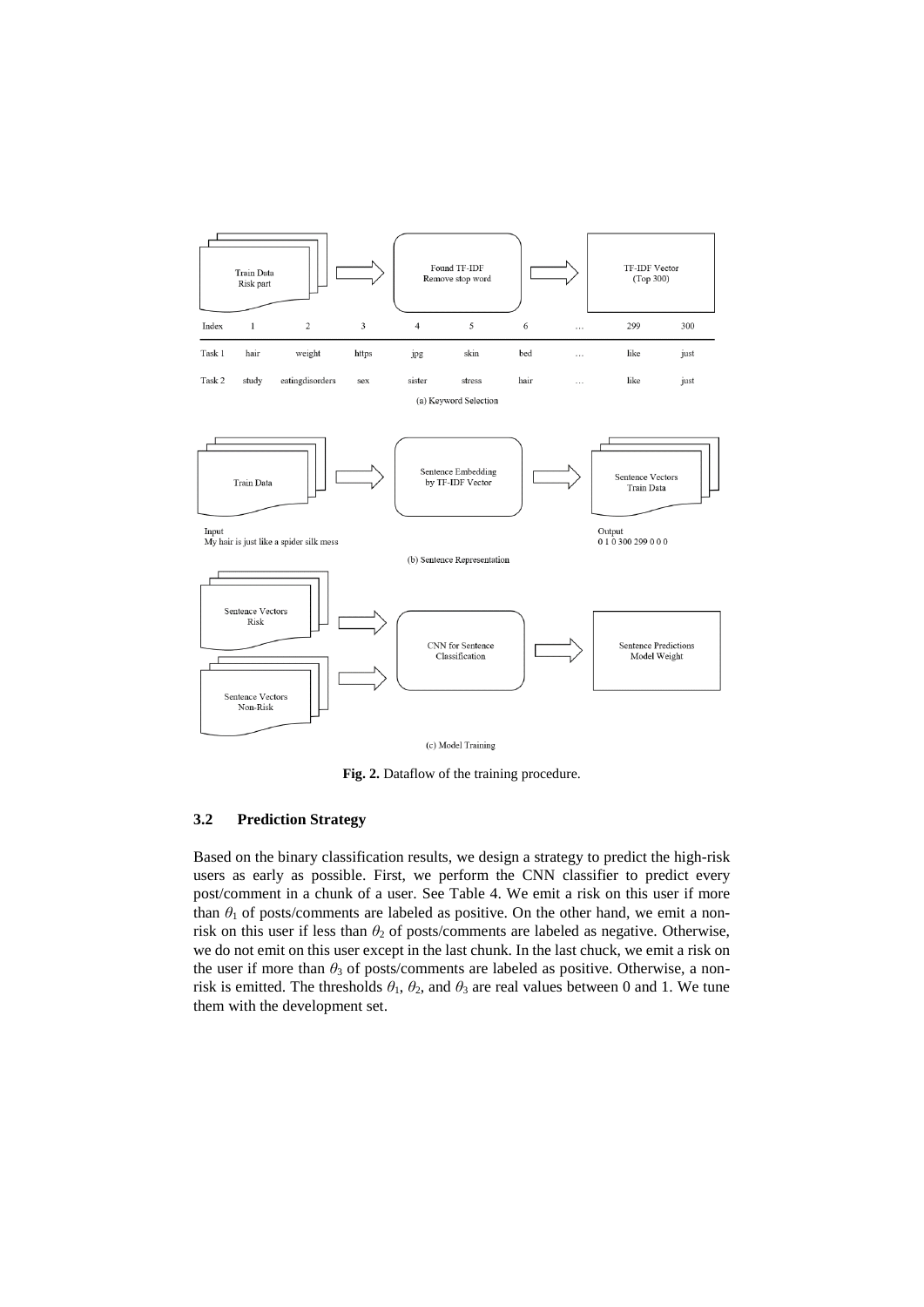

**Fig. 2.** Dataflow of the training procedure.

### **3.2 Prediction Strategy**

Based on the binary classification results, we design a strategy to predict the high-risk users as early as possible. First, we perform the CNN classifier to predict every post/comment in a chunk of a user. See Table 4. We emit a risk on this user if more than  $\theta_1$  of posts/comments are labeled as positive. On the other hand, we emit a nonrisk on this user if less than  $\theta_2$  of posts/comments are labeled as negative. Otherwise, we do not emit on this user except in the last chunk. In the last chuck, we emit a risk on the user if more than *θ*<sub>3</sub> of posts/comments are labeled as positive. Otherwise, a nonrisk is emitted. The thresholds  $\theta_1$ ,  $\theta_2$ , and  $\theta_3$  are real values between 0 and 1. We tune them with the development set.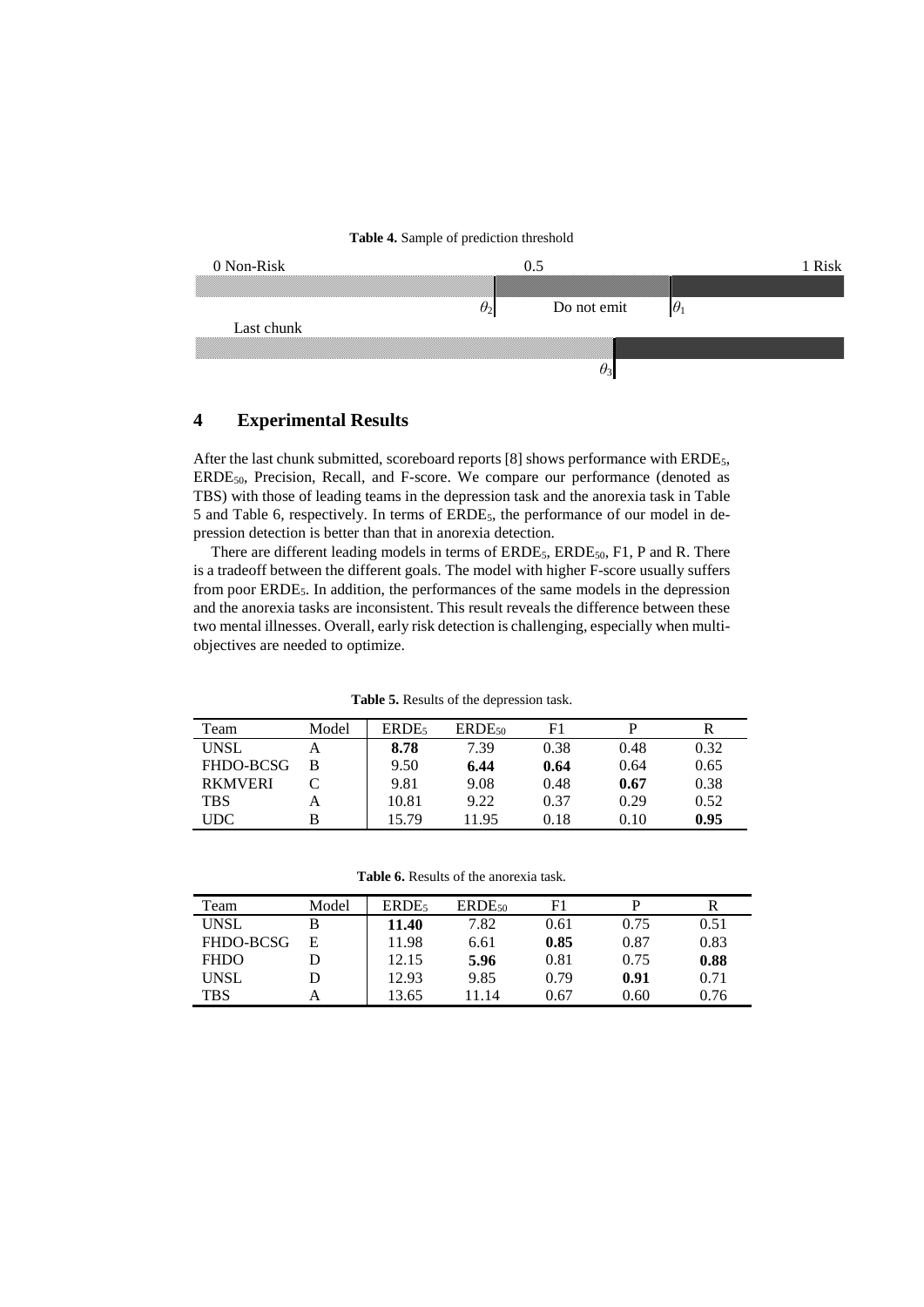

# **4 Experimental Results**

After the last chunk submitted, scoreboard reports [8] shows performance with ERDE<sub>5</sub>, ERDE50, Precision, Recall, and F-score. We compare our performance (denoted as TBS) with those of leading teams in the depression task and the anorexia task in Table 5 and Table 6, respectively. In terms of ERDE5, the performance of our model in depression detection is better than that in anorexia detection.

There are different leading models in terms of  $ERDE_5$ ,  $ERDE_{50}$ ,  $F1$ ,  $P$  and  $R$ . There is a tradeoff between the different goals. The model with higher F-score usually suffers from poor ERDE<sub>5</sub>. In addition, the performances of the same models in the depression and the anorexia tasks are inconsistent. This result reveals the difference between these two mental illnesses. Overall, early risk detection is challenging, especially when multiobjectives are needed to optimize.

|  |  |  | <b>Table 5.</b> Results of the depression task. |  |
|--|--|--|-------------------------------------------------|--|
|--|--|--|-------------------------------------------------|--|

| Team           | Model | ERDE <sub>5</sub> | $ERDE_{50}$ | F1   |      |      |
|----------------|-------|-------------------|-------------|------|------|------|
| <b>UNSL</b>    | А     | 8.78              | 7.39        | 0.38 | 0.48 | 0.32 |
| FHDO-BCSG      | B     | 9.50              | 6.44        | 0.64 | 0.64 | 0.65 |
| <b>RKMVERI</b> |       | 9.81              | 9.08        | 0.48 | 0.67 | 0.38 |
| <b>TBS</b>     | А     | 10.81             | 9.22        | 0.37 | 0.29 | 0.52 |
| UDC            | B     | 15.79             | 11.95       | 0.18 | 0.10 | 0.95 |

**Table 6.** Results of the anorexia task.

| Team        | Model | ERDE <sub>5</sub> | $ERDE_{50}$ | F1   |      |      |
|-------------|-------|-------------------|-------------|------|------|------|
| <b>UNSL</b> | В     | 11.40             | 7.82        | 0.61 | 0.75 | 0.51 |
| FHDO-BCSG   | Е     | 11.98             | 6.61        | 0.85 | 0.87 | 0.83 |
| <b>FHDO</b> | D     | 12.15             | 5.96        | 0.81 | 0.75 | 0.88 |
| <b>UNSL</b> | D     | 12.93             | 9.85        | 0.79 | 0.91 | 0.71 |
| <b>TBS</b>  | А     | 13.65             | 11.14       | 0.67 | 0.60 | 0.76 |